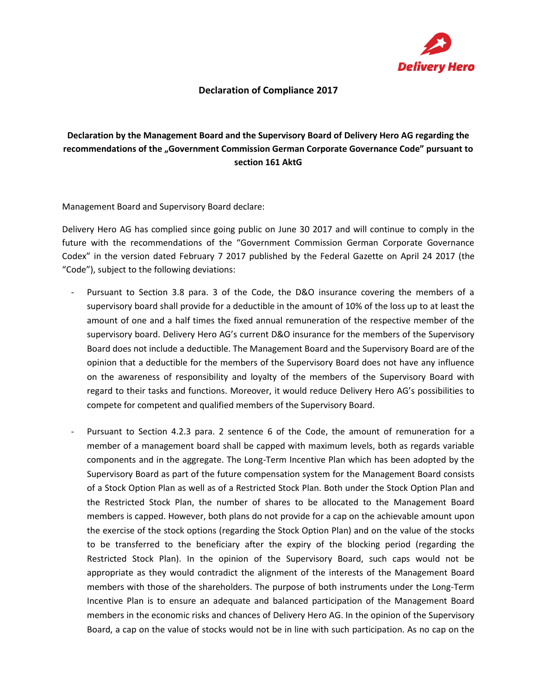

## **Declaration of Compliance 2017**

## **Declaration by the Management Board and the Supervisory Board of Delivery Hero AG regarding the**  recommendations of the "Government Commission German Corporate Governance Code" pursuant to **section 161 AktG**

Management Board and Supervisory Board declare:

Delivery Hero AG has complied since going public on June 30 2017 and will continue to comply in the future with the recommendations of the "Government Commission German Corporate Governance Codex" in the version dated February 7 2017 published by the Federal Gazette on April 24 2017 (the "Code"), subject to the following deviations:

- Pursuant to Section 3.8 para. 3 of the Code, the D&O insurance covering the members of a supervisory board shall provide for a deductible in the amount of 10% of the loss up to at least the amount of one and a half times the fixed annual remuneration of the respective member of the supervisory board. Delivery Hero AG's current D&O insurance for the members of the Supervisory Board does not include a deductible. The Management Board and the Supervisory Board are of the opinion that a deductible for the members of the Supervisory Board does not have any influence on the awareness of responsibility and loyalty of the members of the Supervisory Board with regard to their tasks and functions. Moreover, it would reduce Delivery Hero AG's possibilities to compete for competent and qualified members of the Supervisory Board.
- Pursuant to Section 4.2.3 para. 2 sentence 6 of the Code, the amount of remuneration for a member of a management board shall be capped with maximum levels, both as regards variable components and in the aggregate. The Long-Term Incentive Plan which has been adopted by the Supervisory Board as part of the future compensation system for the Management Board consists of a Stock Option Plan as well as of a Restricted Stock Plan. Both under the Stock Option Plan and the Restricted Stock Plan, the number of shares to be allocated to the Management Board members is capped. However, both plans do not provide for a cap on the achievable amount upon the exercise of the stock options (regarding the Stock Option Plan) and on the value of the stocks to be transferred to the beneficiary after the expiry of the blocking period (regarding the Restricted Stock Plan). In the opinion of the Supervisory Board, such caps would not be appropriate as they would contradict the alignment of the interests of the Management Board members with those of the shareholders. The purpose of both instruments under the Long-Term Incentive Plan is to ensure an adequate and balanced participation of the Management Board members in the economic risks and chances of Delivery Hero AG. In the opinion of the Supervisory Board, a cap on the value of stocks would not be in line with such participation. As no cap on the